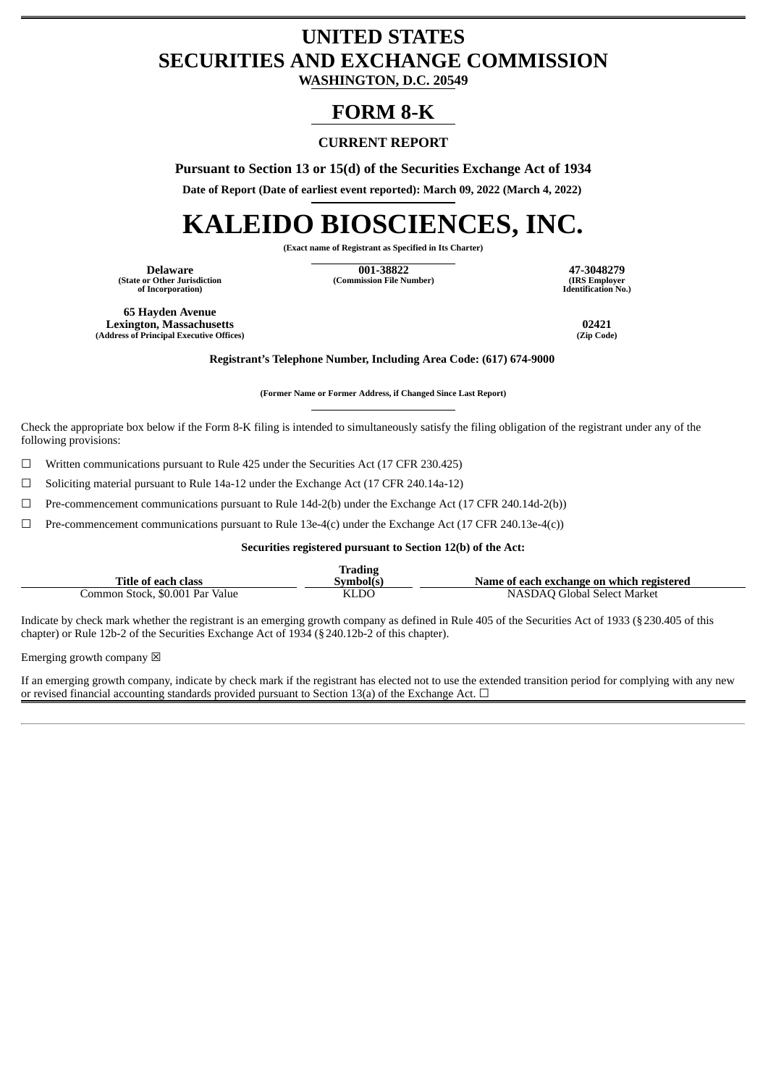## **UNITED STATES SECURITIES AND EXCHANGE COMMISSION**

**WASHINGTON, D.C. 20549**

### **FORM 8-K**

### **CURRENT REPORT**

**Pursuant to Section 13 or 15(d) of the Securities Exchange Act of 1934**

**Date of Report (Date of earliest event reported): March 09, 2022 (March 4, 2022)**

# **KALEIDO BIOSCIENCES, INC.**

**(Exact name of Registrant as Specified in Its Charter)**

**(State or Other Jurisdiction of Incorporation)**

**Delaware 001-38822 47-3048279 (Commission File Number) (IRS Employer**

**Identification No.)**

**65 Hayden Avenue Lexington, Massachusetts 02421 (Address of Principal Executive Offices) (Zip Code)**

**Registrant's Telephone Number, Including Area Code: (617) 674-9000**

**(Former Name or Former Address, if Changed Since Last Report)**

Check the appropriate box below if the Form 8-K filing is intended to simultaneously satisfy the filing obligation of the registrant under any of the following provisions:

 $\Box$  Written communications pursuant to Rule 425 under the Securities Act (17 CFR 230.425)

☐ Soliciting material pursuant to Rule 14a-12 under the Exchange Act (17 CFR 240.14a-12)

 $\Box$  Pre-commencement communications pursuant to Rule 14d-2(b) under the Exchange Act (17 CFR 240.14d-2(b))

 $\Box$  Pre-commencement communications pursuant to Rule 13e-4(c) under the Exchange Act (17 CFR 240.13e-4(c))

**Securities registered pursuant to Section 12(b) of the Act:**

| Title of each class             | <b>Trading</b><br>Symbol(s' | Name of each exchange on which registered |
|---------------------------------|-----------------------------|-------------------------------------------|
| Common Stock, \$0.001 Par Value | KLDO                        | NASDAO Global Select Market               |

Indicate by check mark whether the registrant is an emerging growth company as defined in Rule 405 of the Securities Act of 1933 (§230.405 of this chapter) or Rule 12b-2 of the Securities Exchange Act of 1934 (§240.12b-2 of this chapter).

Emerging growth company  $\boxtimes$ 

If an emerging growth company, indicate by check mark if the registrant has elected not to use the extended transition period for complying with any new or revised financial accounting standards provided pursuant to Section 13(a) of the Exchange Act.  $\Box$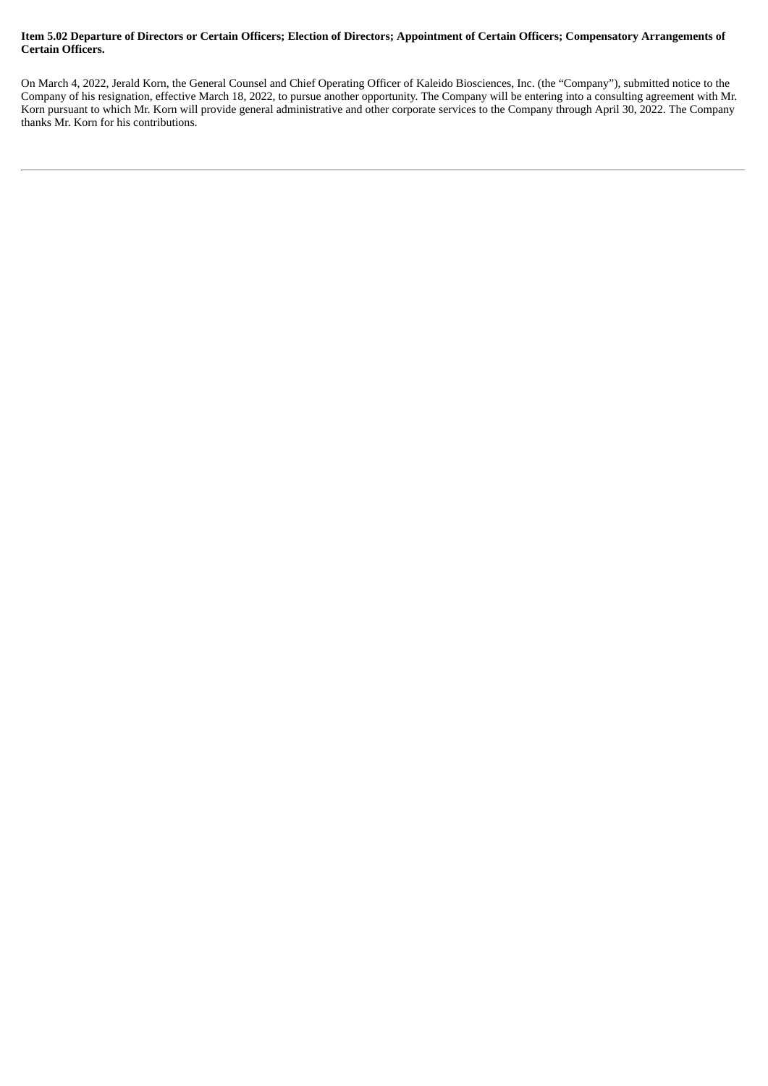#### Item 5.02 Departure of Directors or Certain Officers; Election of Directors; Appointment of Certain Officers; Compensatory Arrangements of **Certain Officers.**

On March 4, 2022, Jerald Korn, the General Counsel and Chief Operating Officer of Kaleido Biosciences, Inc. (the "Company"), submitted notice to the Company of his resignation, effective March 18, 2022, to pursue another opportunity. The Company will be entering into a consulting agreement with Mr. Korn pursuant to which Mr. Korn will provide general administrative and other corporate services to the Company through April 30, 2022. The Company thanks Mr. Korn for his contributions.